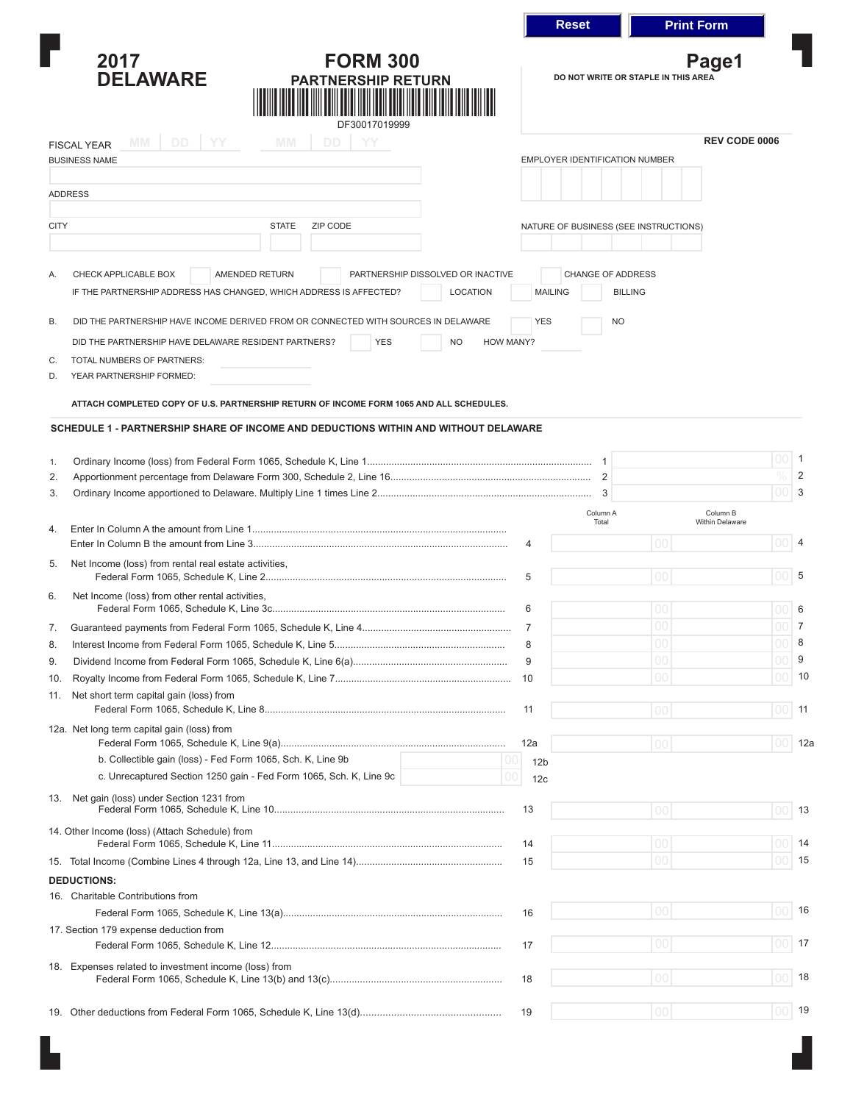|                |                                                                                                                                                                      |                                              | <b>Reset</b>                                                 | <b>Print Form</b> |                      |                |
|----------------|----------------------------------------------------------------------------------------------------------------------------------------------------------------------|----------------------------------------------|--------------------------------------------------------------|-------------------|----------------------|----------------|
|                | <b>FORM 300</b><br>2017<br><b>DELAWARE</b><br><b>PARTNERSHIP RETURN</b><br>DF30017019999                                                                             | Page1<br>DO NOT WRITE OR STAPLE IN THIS AREA |                                                              |                   |                      |                |
|                | DD YY<br><b>MM</b><br><b>MM</b><br><b>DD</b><br>YY<br><b>FISCAL YEAR</b>                                                                                             |                                              |                                                              |                   | <b>REV CODE 0006</b> |                |
|                | <b>BUSINESS NAME</b>                                                                                                                                                 |                                              | <b>EMPLOYER IDENTIFICATION NUMBER</b>                        |                   |                      |                |
|                |                                                                                                                                                                      |                                              |                                                              |                   |                      |                |
| <b>ADDRESS</b> |                                                                                                                                                                      |                                              |                                                              |                   |                      |                |
| <b>CITY</b>    | <b>STATE</b><br>ZIP CODE                                                                                                                                             |                                              | NATURE OF BUSINESS (SEE INSTRUCTIONS)                        |                   |                      |                |
|                |                                                                                                                                                                      |                                              |                                                              |                   |                      |                |
| Α.             | CHECK APPLICABLE BOX<br>AMENDED RETURN<br>PARTNERSHIP DISSOLVED OR INACTIVE<br>IF THE PARTNERSHIP ADDRESS HAS CHANGED, WHICH ADDRESS IS AFFECTED?<br><b>LOCATION</b> |                                              | <b>CHANGE OF ADDRESS</b><br><b>MAILING</b><br><b>BILLING</b> |                   |                      |                |
| <b>B.</b>      | DID THE PARTNERSHIP HAVE INCOME DERIVED FROM OR CONNECTED WITH SOURCES IN DELAWARE                                                                                   | <b>YES</b>                                   | <b>NO</b>                                                    |                   |                      |                |
|                | DID THE PARTNERSHIP HAVE DELAWARE RESIDENT PARTNERS?<br><b>YES</b><br><b>NO</b><br><b>HOW MANY?</b>                                                                  |                                              |                                                              |                   |                      |                |
| C.             | TOTAL NUMBERS OF PARTNERS:                                                                                                                                           |                                              |                                                              |                   |                      |                |
| D.             | YEAR PARTNERSHIP FORMED:                                                                                                                                             |                                              |                                                              |                   |                      |                |
|                | ATTACH COMPLETED COPY OF U.S. PARTNERSHIP RETURN OF INCOME FORM 1065 AND ALL SCHEDULES.                                                                              |                                              |                                                              |                   |                      |                |
|                |                                                                                                                                                                      |                                              |                                                              |                   |                      |                |
|                | SCHEDULE 1 - PARTNERSHIP SHARE OF INCOME AND DEDUCTIONS WITHIN AND WITHOUT DELAWARE                                                                                  |                                              |                                                              |                   |                      |                |
| 1.             |                                                                                                                                                                      |                                              |                                                              |                   | 00                   | $\overline{1}$ |
| 2.             |                                                                                                                                                                      |                                              |                                                              |                   | 0/                   | 2              |
| 3.             |                                                                                                                                                                      |                                              | 3                                                            |                   | 00                   | 3              |
|                |                                                                                                                                                                      |                                              | Column A                                                     |                   | Column B             |                |
| 4.             |                                                                                                                                                                      |                                              | Total                                                        |                   | Within Delaware      |                |
|                |                                                                                                                                                                      | 4                                            |                                                              | 00                | 00                   | $\overline{4}$ |
| 5.             | Net Income (loss) from rental real estate activities,                                                                                                                |                                              |                                                              |                   |                      |                |
|                |                                                                                                                                                                      | 5                                            |                                                              | 00                | 00                   | 5              |
| 6.             | Net Income (loss) from other rental activities,                                                                                                                      | 6                                            |                                                              | 00                | 00                   | 6              |
|                |                                                                                                                                                                      |                                              |                                                              | $00\,$            | 00                   | 7              |
| 7.             |                                                                                                                                                                      | 7<br>8                                       |                                                              | 00                |                      | 8              |
| 8.<br>9.       |                                                                                                                                                                      | 9                                            |                                                              | $00\,$            | 00                   | 9              |
| 10.            |                                                                                                                                                                      | 10                                           |                                                              | $00\,$            | 00                   | 10             |
| 11.            | Net short term capital gain (loss) from                                                                                                                              |                                              |                                                              |                   |                      |                |
|                |                                                                                                                                                                      | 11                                           |                                                              | 00                | 00                   | 11             |
|                | 12a. Net long term capital gain (loss) from                                                                                                                          |                                              |                                                              |                   |                      |                |
|                |                                                                                                                                                                      | 12a                                          |                                                              | 00                | 00                   | 12a            |
|                | b. Collectible gain (loss) - Fed Form 1065, Sch. K, Line 9b<br>00                                                                                                    | 12 <sub>b</sub>                              |                                                              |                   |                      |                |
|                | c. Unrecaptured Section 1250 gain - Fed Form 1065, Sch. K, Line 9c<br>00                                                                                             | 12 <sub>c</sub>                              |                                                              |                   |                      |                |
|                | 13. Net gain (loss) under Section 1231 from                                                                                                                          |                                              |                                                              |                   |                      |                |
|                |                                                                                                                                                                      | 13                                           |                                                              | 00                | 00                   | 13             |
|                | 14. Other Income (loss) (Attach Schedule) from                                                                                                                       | 14                                           |                                                              | 00                | 00                   | 14             |
|                |                                                                                                                                                                      | 15                                           |                                                              | $00\,$            | $00\,$               | 15             |
|                | <b>DEDUCTIONS:</b>                                                                                                                                                   |                                              |                                                              |                   |                      |                |
|                | 16. Charitable Contributions from                                                                                                                                    |                                              |                                                              |                   |                      |                |
|                |                                                                                                                                                                      | 16                                           |                                                              | 00                | 00                   | 16             |
|                | 17. Section 179 expense deduction from                                                                                                                               |                                              |                                                              |                   |                      |                |
|                |                                                                                                                                                                      | 17                                           |                                                              | 00                | 00                   | 17             |
|                | 18. Expenses related to investment income (loss) from                                                                                                                |                                              |                                                              |                   |                      |                |
|                |                                                                                                                                                                      | 18                                           |                                                              | 00                | 00                   | 18             |
|                |                                                                                                                                                                      |                                              |                                                              |                   |                      |                |
|                |                                                                                                                                                                      | 19                                           |                                                              | 00 <sup>o</sup>   |                      | $00$ 19        |